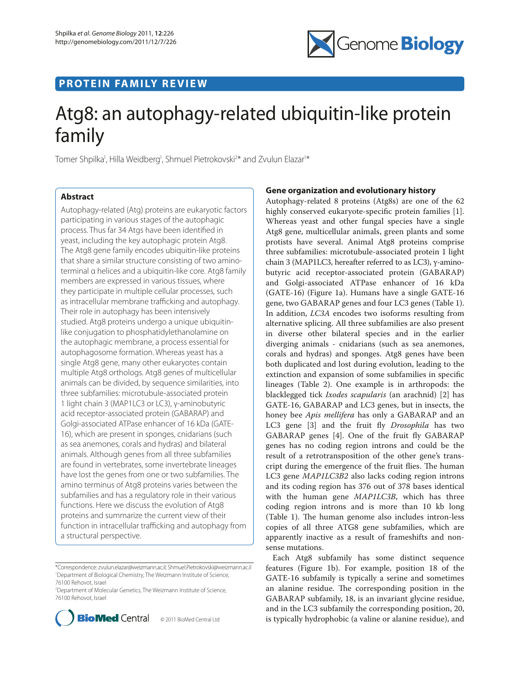

## **PROTEIN FAMILY REVIEW**

# Atg8: an autophagy-related ubiquitin-like protein family

Tomer Shpilka<sup>1</sup>, Hilla Weidberg<sup>1</sup>, Shmuel Pietrokovski<sup>2</sup>\* and Zvulun Elazar<sup>1\*</sup>

## **Abstract**

Autophagy-related (Atg) proteins are eukaryotic factors participating in various stages of the autophagic process. Thus far 34 Atgs have been identified in yeast, including the key autophagic protein Atg8. The Atg8 gene family encodes ubiquitin-like proteins that share a similar structure consisting of two aminoterminal α helices and a ubiquitin-like core. Atg8 family members are expressed in various tissues, where they participate in multiple cellular processes, such as intracellular membrane trafficking and autophagy. Their role in autophagy has been intensively studied. Atg8 proteins undergo a unique ubiquitinlike conjugation to phosphatidylethanolamine on the autophagic membrane, a process essential for autophagosome formation. Whereas yeast has a single Atg8 gene, many other eukaryotes contain multiple Atg8 orthologs. Atg8 genes of multicellular animals can be divided, by sequence similarities, into three subfamilies: microtubule-associated protein 1 light chain 3 (MAP1LC3 or LC3), γ-aminobutyric acid receptor-associated protein (GABARAP) and Golgi-associated ATPase enhancer of 16 kDa (GATE-16), which are present in sponges, cnidarians (such as sea anemones, corals and hydras) and bilateral animals. Although genes from all three subfamilies are found in vertebrates, some invertebrate lineages have lost the genes from one or two subfamilies. The amino terminus of Atg8 proteins varies between the subfamilies and has a regulatory role in their various functions. Here we discuss the evolution of Atg8 proteins and summarize the current view of their function in intracellular trafficking and autophagy from a structural perspective.

<sup>2</sup> Department of Molecular Genetics, The Weizmann Institute of Science, 76100 Rehovot, Israel



## **Gene organization and evolutionary history**

Autophagy-related 8 proteins (Atg8s) are one of the 62 highly conserved eukaryote-specific protein families [1]. Whereas yeast and other fungal species have a single Atg8 gene, multicellular animals, green plants and some protists have several. Animal Atg8 proteins comprise three subfamilies: microtubule-associated protein 1 light chain 3 (MAP1LC3, hereafter referred to as LC3), γ-aminobutyric acid receptor-associated protein (GABARAP) and Golgi-associated ATPase enhancer of 16 kDa (GATE-16) (Figure 1a). Humans have a single GATE-16 gene, two GABARAP genes and four LC3 genes (Table 1). In addition, *LC3A* encodes two isoforms resulting from alternative splicing. All three subfamilies are also present in diverse other bilateral species and in the earlier diverging animals - cnidarians (such as sea anemones, corals and hydras) and sponges. Atg8 genes have been both duplicated and lost during evolution, leading to the extinction and expansion of some subfamilies in specific lineages (Table 2). One example is in arthropods: the blacklegged tick *Ixodes scapularis* (an arachnid) [2] has GATE-16, GABARAP and LC3 genes, but in insects, the honey bee *Apis mellifera* has only a GABARAP and an LC3 gene [3] and the fruit fly *Drosophila* has two GABARAP genes [4]. One of the fruit fly GABARAP genes has no coding region introns and could be the result of a retrotransposition of the other gene's transcript during the emergence of the fruit flies. The human LC3 gene *MAP1LC3B2* also lacks coding region introns and its coding region has 376 out of 378 bases identical with the human gene *MAP1LC3B*, which has three coding region introns and is more than 10 kb long (Table 1). The human genome also includes intron-less copies of all three ATG8 gene subfamilies, which are apparently inactive as a result of frameshifts and nonsense mutations.

Each Atg8 subfamily has some distinct sequence features (Figure 1b). For example, position 18 of the GATE-16 subfamily is typically a serine and sometimes an alanine residue. The corresponding position in the GABARAP subfamily, 18, is an invariant glycine residue, and in the LC3 subfamily the corresponding position, 20, is typically hydrophobic (a valine or alanine residue), and

<sup>\*</sup>Correspondence: zvulun.elazar@weizmann.ac.il; Shmuel.Pietrokovski@weizmann.ac.il 1 Department of Biological Chemistry, The Weizmann Institute of Science, 76100 Rehovot, Israel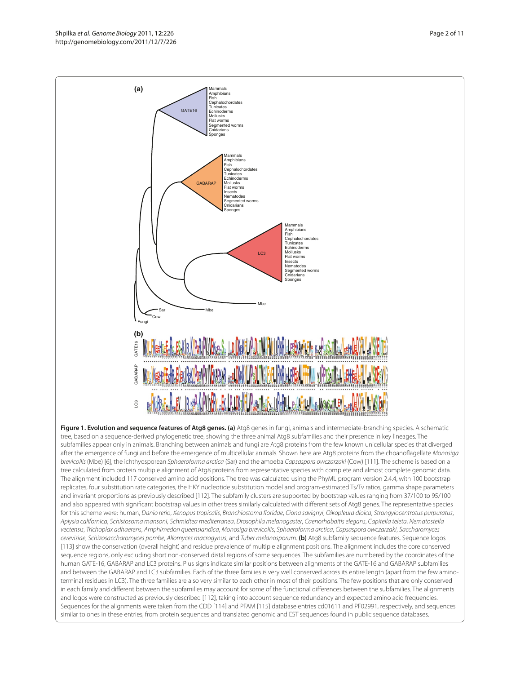

**Figure 1. Evolution and sequence features of Atg8 genes. (a)** Atg8 genes in fungi, animals and intermediate-branching species. A schematic tree, based on a sequence-derived phylogenetic tree, showing the three animal Atg8 subfamilies and their presence in key lineages. The subfamilies appear only in animals. Branching between animals and fungi are Atg8 proteins from the few known unicellular species that diverged after the emergence of fungi and before the emergence of multicellular animals. Shown here are Atg8 proteins from the choanoflagellate *Monosiga brevicollis* (Mbe) [6], the ichthyosporean *Sphaeroforma arctica* (Sar) and the amoeba *Capsaspora owczarzaki* (Cow) [111]. The scheme is based on a tree calculated from protein multiple alignment of Atg8 proteins from representative species with complete and almost complete genomic data. The alignment included 117 conserved amino acid positions. The tree was calculated using the PhyML program version 2.4.4, with 100 bootstrap replicates, four substitution rate categories, the HKY nucleotide substitution model and program-estimated Ts/Tv ratios, gamma shape parameters and invariant proportions as previously described [112]. The subfamily clusters are supported by bootstrap values ranging from 37/100 to 95/100 and also appeared with significant bootstrap values in other trees similarly calculated with different sets of Atg8 genes. The representative species for this scheme were: human, *Danio rerio*, *Xenopus tropicalis*, *Branchiostoma floridae*, *Ciona savignyi*, *Oikopleura dioica*, *Strongylocentrotus purpuratus*, *Aplysia californica*, *Schistosoma mansoni*, *Schmidtea mediterranea*, *Drosophila melanogaster*, *Caenorhabditis elegans*, *Capitella teleta*, *Nematostella vectensis*, *Trichoplax adhaerens*, *Amphimedon queenslandica*, *Monosiga brevicollis*, *Sphaeroforma arctica*, *Capsaspora owczarzaki*, *Saccharomyces cerevisiae*, *Schizosaccharomyces pombe*, *Allomyces macrogynus*, and *Tuber melanosporum*. **(b)** Atg8 subfamily sequence features. Sequence logos [113] show the conservation (overall height) and residue prevalence of multiple alignment positions. The alignment includes the core conserved sequence regions, only excluding short non-conserved distal regions of some sequences. The subfamilies are numbered by the coordinates of the human GATE-16, GABARAP and LC3 proteins. Plus signs indicate similar positions between alignments of the GATE-16 and GABARAP subfamilies and between the GABARAP and LC3 subfamilies. Each of the three families is very well conserved across its entire length (apart from the few aminoterminal residues in LC3). The three families are also very similar to each other in most of their positions. The few positions that are only conserved in each family and different between the subfamilies may account for some of the functional differences between the subfamilies. The alignments and logos were constructed as previously described [112], taking into account sequence redundancy and expected amino acid frequencies. Sequences for the alignments were taken from the CDD [114] and PFAM [115] database entries cd01611 and PF02991, respectively, and sequences similar to ones in these entries, from protein sequences and translated genomic and EST sequences found in public sequence databases. GATE16 GABARAP LC3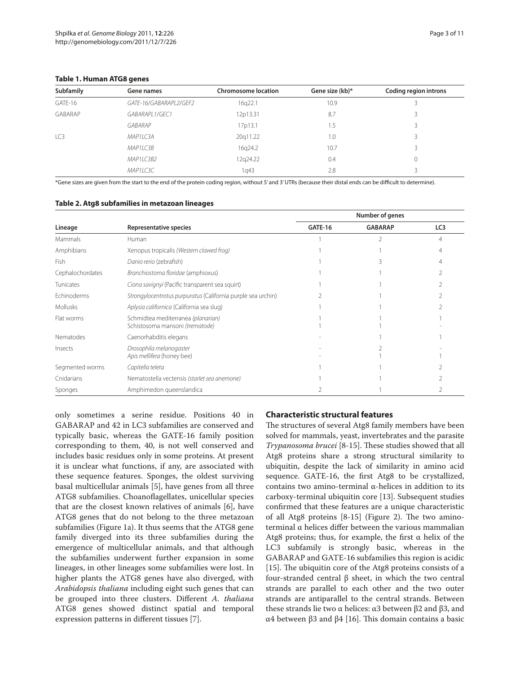#### **Table 1. Human ATG8 genes**

| Subfamily       | Gene names             | <b>Chromosome location</b> | Gene size (kb)* | Coding region introns |
|-----------------|------------------------|----------------------------|-----------------|-----------------------|
| GATE-16         | GATE-16/GABARAPL2/GEF2 | 16q22.1                    | 10.9            |                       |
| <b>GABARAP</b>  | GABARAPL1/GEC1         | 12p13.31                   | 8.7             | 3                     |
|                 | <b>GABARAP</b>         | 17p13.1                    | 1.5             | 3                     |
| LC <sub>3</sub> | MAP1LC3A               | 20g11.22                   | 1.0             |                       |
|                 | MAP1LC3B               | 16q24.2                    | 10.7            | 3                     |
|                 | MAP1LC3B2              | 12g24.22                   | 0.4             | 0                     |
|                 | MAP1LC3C               | 1q43                       | 2.8             | ₹                     |

\*Gene sizes are given from the start to the end of the protein coding region, without 5' and 3' UTRs (because their distal ends can be difficult to determine).

#### **Table 2. Atg8 subfamilies in metazoan lineages**

|                  |                                                                       | Number of genes |                |                 |
|------------------|-----------------------------------------------------------------------|-----------------|----------------|-----------------|
| Lineage          | Representative species                                                | GATE-16         | <b>GABARAP</b> | LC <sub>3</sub> |
| Mammals          | Human                                                                 |                 |                | 4               |
| Amphibians       | Xenopus tropicalis (Western clawed frog)                              |                 |                | 4               |
| <b>Fish</b>      | Danio rerio (zebrafish)                                               |                 |                | 4               |
| Cephalochordates | Branchiostoma floridae (amphioxus)                                    |                 |                |                 |
| Tunicates        | Ciona savignyi (Pacific transparent sea squirt)                       |                 |                |                 |
| Echinoderms      | Strongylocentrotus purpuratus (California purple sea urchin)          |                 |                |                 |
| Mollusks         | Aplysia californica (California sea slug)                             |                 |                |                 |
| Flat worms       | Schmidtea mediterranea (planarian)<br>Schistosoma mansoni (trematode) |                 |                |                 |
| Nematodes        | Caenorhabditis elegans                                                |                 |                |                 |
| Insects          | Drosophila melanogaster<br>Apis mellifera (honey bee)                 |                 |                |                 |
| Segmented worms  | Capitella teleta                                                      |                 |                |                 |
| Cnidarians       | Nematostella vectensis (starlet sea anemone)                          |                 |                |                 |
| Sponges          | Amphimedon queenslandica                                              |                 |                |                 |

only sometimes a serine residue. Positions 40 in GABARAP and 42 in LC3 subfamilies are conserved and typically basic, whereas the GATE-16 family position corresponding to them, 40, is not well conserved and includes basic residues only in some proteins. At present it is unclear what functions, if any, are associated with these sequence features. Sponges, the oldest surviving basal multicellular animals [5], have genes from all three ATG8 subfamilies. Choanoflagellates, unicellular species that are the closest known relatives of animals [6], have ATG8 genes that do not belong to the three metazoan subfamilies (Figure 1a). It thus seems that the ATG8 gene family diverged into its three subfamilies during the emergence of multicellular animals, and that although the subfamilies underwent further expansion in some lineages, in other lineages some subfamilies were lost. In higher plants the ATG8 genes have also diverged, with *Arabidopsis thaliana* including eight such genes that can be grouped into three clusters. Different *A. thaliana* ATG8 genes showed distinct spatial and temporal expression patterns in different tissues [7].

#### **Characteristic structural features**

The structures of several Atg8 family members have been solved for mammals, yeast, invertebrates and the parasite *Trypanosoma brucei* [8-15]. These studies showed that all Atg8 proteins share a strong structural similarity to ubiquitin, despite the lack of similarity in amino acid sequence. GATE-16, the first Atg8 to be crystallized, contains two amino-terminal α-helices in addition to its carboxy-terminal ubiquitin core [13]. Subsequent studies confirmed that these features are a unique characteristic of all Atg8 proteins [8-15] (Figure 2). The two aminoterminal α helices differ between the various mammalian Atg8 proteins; thus, for example, the first  $α$  helix of the LC3 subfamily is strongly basic, whereas in the GABARAP and GATE-16 subfamilies this region is acidic [15]. The ubiquitin core of the Atg8 proteins consists of a four-stranded central β sheet, in which the two central strands are parallel to each other and the two outer strands are antiparallel to the central strands. Between these strands lie two α helices: α3 between  $β2$  and  $β3$ , and α4 between β3 and β4 [16]. This domain contains a basic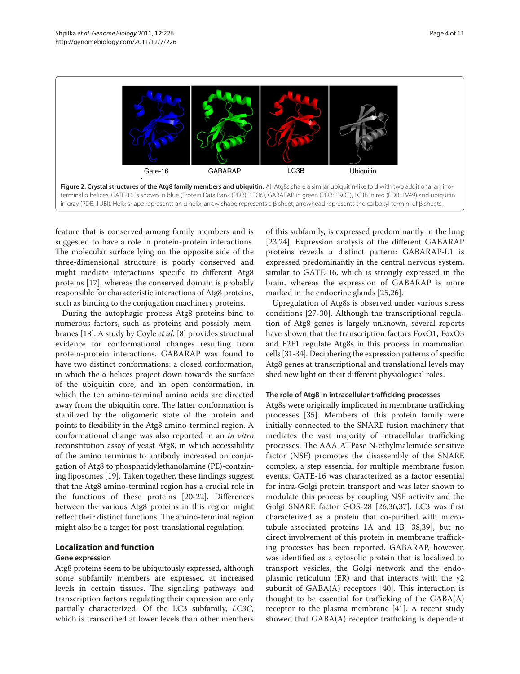

feature that is conserved among family members and is suggested to have a role in protein-protein interactions. The molecular surface lying on the opposite side of the three-dimensional structure is poorly conserved and might mediate interactions specific to different Atg8 proteins [17], whereas the conserved domain is probably responsible for characteristic interactions of Atg8 proteins, such as binding to the conjugation machinery proteins.

During the autophagic process Atg8 proteins bind to numerous factors, such as proteins and possibly membranes [18]. A study by Coyle *et al.* [8] provides structural evidence for conformational changes resulting from protein-protein interactions. GABARAP was found to have two distinct conformations: a closed conformation, in which the  $\alpha$  helices project down towards the surface of the ubiquitin core, and an open conformation, in which the ten amino-terminal amino acids are directed away from the ubiquitin core. The latter conformation is stabilized by the oligomeric state of the protein and points to flexibility in the Atg8 amino-terminal region. A conformational change was also reported in an *in vitro* reconstitution assay of yeast Atg8, in which accessibility of the amino terminus to antibody increased on conjugation of Atg8 to phosphatidylethanolamine (PE)-containing liposomes [19]. Taken together, these findings suggest that the Atg8 amino-terminal region has a crucial role in the functions of these proteins [20-22]. Differences between the various Atg8 proteins in this region might reflect their distinct functions. The amino-terminal region might also be a target for post-translational regulation.

## **Localization and function**

## **Gene expression**

Atg8 proteins seem to be ubiquitously expressed, although some subfamily members are expressed at increased levels in certain tissues. The signaling pathways and transcription factors regulating their expression are only partially characterized. Of the LC3 subfamily, *LC3C*, which is transcribed at lower levels than other members of this subfamily, is expressed predominantly in the lung [23,24]. Expression analysis of the different GABARAP proteins reveals a distinct pattern: GABARAP-L1 is expressed predominantly in the central nervous system, similar to GATE-16, which is strongly expressed in the brain, whereas the expression of GABARAP is more marked in the endocrine glands [25,26].

Upregulation of Atg8s is observed under various stress conditions [27-30]. Although the transcriptional regulation of Atg8 genes is largely unknown, several reports have shown that the transcription factors FoxO1, FoxO3 and E2F1 regulate Atg8s in this process in mammalian cells [31-34]. Deciphering the expression patterns of specific Atg8 genes at transcriptional and translational levels may shed new light on their different physiological roles.

#### **The role of Atg8 in intracellular trafficking processes**

Atg8s were originally implicated in membrane trafficking processes [35]. Members of this protein family were initially connected to the SNARE fusion machinery that mediates the vast majority of intracellular trafficking processes. The AAA ATPase N-ethylmaleimide sensitive factor (NSF) promotes the disassembly of the SNARE complex, a step essential for multiple membrane fusion events. GATE-16 was characterized as a factor essential for intra-Golgi protein transport and was later shown to modulate this process by coupling NSF activity and the Golgi SNARE factor GOS-28 [26,36,37]. LC3 was first characterized as a protein that co-purified with microtubule-associated proteins 1A and 1B [38,39], but no direct involvement of this protein in membrane trafficking processes has been reported. GABARAP, however, was identified as a cytosolic protein that is localized to transport vesicles, the Golgi network and the endoplasmic reticulum (ER) and that interacts with the  $γ2$ subunit of GABA(A) receptors [40]. This interaction is thought to be essential for trafficking of the GABA(A) receptor to the plasma membrane [41]. A recent study showed that GABA(A) receptor trafficking is dependent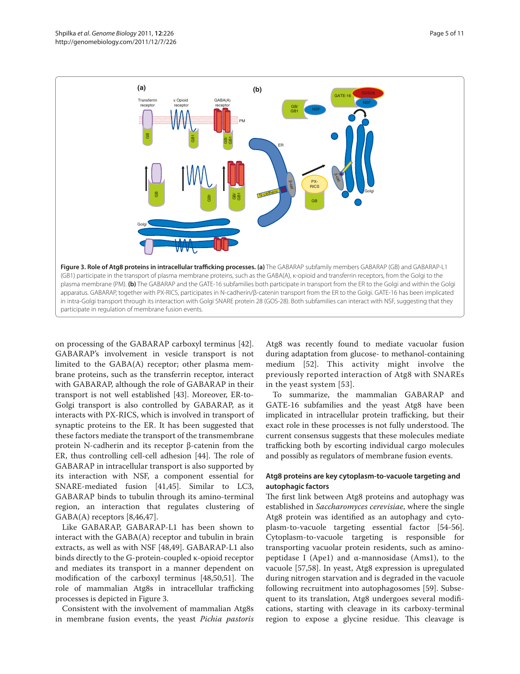

on processing of the GABARAP carboxyl terminus [42]. GABARAP's involvement in vesicle transport is not limited to the GABA(A) receptor; other plasma membrane proteins, such as the transferrin receptor, interact with GABARAP, although the role of GABARAP in their transport is not well established [43]. Moreover, ER-to-Golgi transport is also controlled by GABARAP, as it interacts with PX-RICS, which is involved in transport of synaptic proteins to the ER. It has been suggested that these factors mediate the transport of the transmembrane protein N-cadherin and its receptor β-catenin from the ER, thus controlling cell-cell adhesion [44]. The role of GABARAP in intracellular transport is also supported by its interaction with NSF, a component essential for SNARE-mediated fusion [41,45]. Similar to LC3, GABARAP binds to tubulin through its amino-terminal region, an interaction that regulates clustering of GABA(A) receptors [8,46,47].

Like GABARAP, GABARAP-L1 has been shown to interact with the GABA(A) receptor and tubulin in brain extracts, as well as with NSF [48,49]. GABARAP-L1 also binds directly to the G-protein-coupled κ-opioid receptor and mediates its transport in a manner dependent on modification of the carboxyl terminus [48,50,51]. The role of mammalian Atg8s in intracellular trafficking processes is depicted in Figure 3.

Consistent with the involvement of mammalian Atg8s in membrane fusion events, the yeast *Pichia pastoris*  Atg8 was recently found to mediate vacuolar fusion during adaptation from glucose- to methanol-containing medium [52]. This activity might involve the previously reported interaction of Atg8 with SNAREs in the yeast system [53].

To summarize, the mammalian GABARAP and GATE-16 subfamilies and the yeast Atg8 have been implicated in intracellular protein trafficking, but their exact role in these processes is not fully understood. The current consensus suggests that these molecules mediate trafficking both by escorting individual cargo molecules and possibly as regulators of membrane fusion events.

## **Atg8 proteins are key cytoplasm-to-vacuole targeting and autophagic factors**

The first link between Atg8 proteins and autophagy was established in *Saccharomyces cerevisiae*, where the single Atg8 protein was identified as an autophagy and cytoplasm-to-vacuole targeting essential factor [54-56]. Cytoplasm-to-vacuole targeting is responsible for transporting vacuolar protein residents, such as aminopeptidase I (Ape1) and α-mannosidase (Ams1), to the vacuole [57,58]. In yeast, Atg8 expression is upregulated during nitrogen starvation and is degraded in the vacuole following recruitment into autophagosomes [59]. Subsequent to its translation, Atg8 undergoes several modifications, starting with cleavage in its carboxy-terminal region to expose a glycine residue. This cleavage is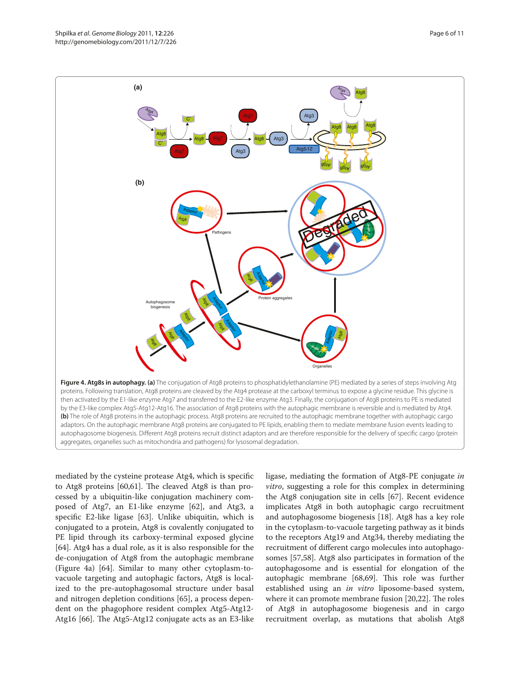

mediated by the cysteine protease Atg4, which is specific to Atg8 proteins [60,61]. The cleaved Atg8 is than processed by a ubiquitin-like conjugation machinery composed of Atg7, an E1-like enzyme [62], and Atg3, a specific E2-like ligase [63]. Unlike ubiquitin, which is conjugated to a protein, Atg8 is covalently conjugated to PE lipid through its carboxy-terminal exposed glycine [64]. Atg4 has a dual role, as it is also responsible for the de-conjugation of Atg8 from the autophagic membrane (Figure 4a) [64]. Similar to many other cytoplasm-tovacuole targeting and autophagic factors, Atg8 is localized to the pre-autophagosomal structure under basal and nitrogen depletion conditions [65], a process dependent on the phagophore resident complex Atg5-Atg12- Atg16 [66]. The Atg5-Atg12 conjugate acts as an E3-like ligase, mediating the formation of Atg8-PE conjugate *in vitro*, suggesting a role for this complex in determining the Atg8 conjugation site in cells [67]. Recent evidence implicates Atg8 in both autophagic cargo recruitment and autophagosome biogenesis [18]. Atg8 has a key role in the cytoplasm-to-vacuole targeting pathway as it binds to the receptors Atg19 and Atg34, thereby mediating the recruitment of different cargo molecules into autophagosomes [57,58]. Atg8 also participates in formation of the autophagosome and is essential for elongation of the autophagic membrane [68,69]. This role was further established using an *in vitro* liposome-based system, where it can promote membrane fusion [20,22]. The roles of Atg8 in autophagosome biogenesis and in cargo recruitment overlap, as mutations that abolish Atg8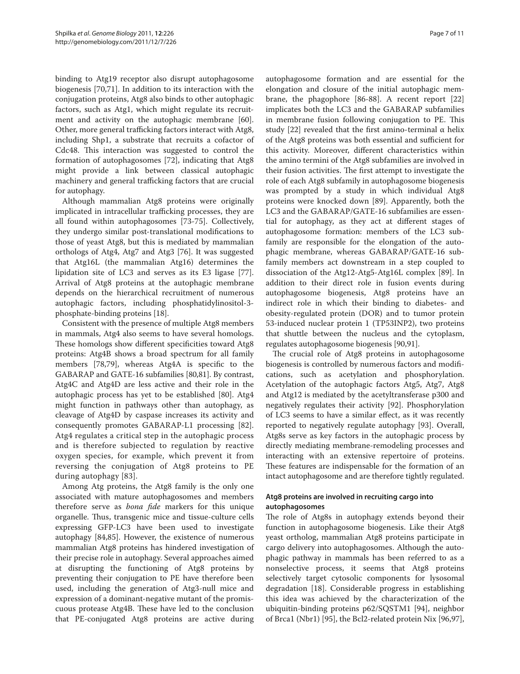binding to Atg19 receptor also disrupt autophagosome biogenesis [70,71]. In addition to its interaction with the conjugation proteins, Atg8 also binds to other autophagic factors, such as Atg1, which might regulate its recruitment and activity on the autophagic membrane [60]. Other, more general trafficking factors interact with Atg8, including Shp1, a substrate that recruits a cofactor of Cdc48. This interaction was suggested to control the formation of autophagosomes [72], indicating that Atg8 might provide a link between classical autophagic machinery and general trafficking factors that are crucial for autophagy.

Although mammalian Atg8 proteins were originally implicated in intracellular trafficking processes, they are all found within autophagosomes [73-75]. Collectively, they undergo similar post-translational modifications to those of yeast Atg8, but this is mediated by mammalian orthologs of Atg4, Atg7 and Atg3 [76]. It was suggested that Atg16L (the mammalian Atg16) determines the lipidation site of LC3 and serves as its E3 ligase [77]. Arrival of Atg8 proteins at the autophagic membrane depends on the hierarchical recruitment of numerous autophagic factors, including phosphatidylinositol-3 phosphate-binding proteins [18].

Consistent with the presence of multiple Atg8 members in mammals, Atg4 also seems to have several homologs. These homologs show different specificities toward Atg8 proteins: Atg4B shows a broad spectrum for all family members [78,79], whereas Atg4A is specific to the GABARAP and GATE-16 subfamilies [80,81]. By contrast, Atg4C and Atg4D are less active and their role in the autophagic process has yet to be established [80]. Atg4 might function in pathways other than autophagy, as cleavage of Atg4D by caspase increases its activity and consequently promotes GABARAP-L1 processing [82]. Atg4 regulates a critical step in the autophagic process and is therefore subjected to regulation by reactive oxygen species, for example, which prevent it from reversing the conjugation of Atg8 proteins to PE during autophagy [83].

Among Atg proteins, the Atg8 family is the only one associated with mature autophagosomes and members therefore serve as *bona fide* markers for this unique organelle. Thus, transgenic mice and tissue-culture cells expressing GFP-LC3 have been used to investigate autophagy [84,85]. However, the existence of numerous mammalian Atg8 proteins has hindered investigation of their precise role in autophagy. Several approaches aimed at disrupting the functioning of Atg8 proteins by preventing their conjugation to PE have therefore been used, including the generation of Atg3-null mice and expression of a dominant-negative mutant of the promiscuous protease Atg4B. These have led to the conclusion that PE-conjugated Atg8 proteins are active during autophagosome formation and are essential for the elongation and closure of the initial autophagic membrane, the phagophore [86-88]. A recent report [22] implicates both the LC3 and the GABARAP subfamilies in membrane fusion following conjugation to PE. This study [22] revealed that the first amino-terminal α helix of the Atg8 proteins was both essential and sufficient for this activity. Moreover, different characteristics within the amino termini of the Atg8 subfamilies are involved in their fusion activities. The first attempt to investigate the role of each Atg8 subfamily in autophagosome biogenesis was prompted by a study in which individual Atg8 proteins were knocked down [89]. Apparently, both the LC3 and the GABARAP/GATE-16 subfamilies are essential for autophagy, as they act at different stages of autophagosome formation: members of the LC3 subfamily are responsible for the elongation of the autophagic membrane, whereas GABARAP/GATE-16 subfamily members act downstream in a step coupled to dissociation of the Atg12-Atg5-Atg16L complex [89]. In addition to their direct role in fusion events during autophagosome biogenesis, Atg8 proteins have an indirect role in which their binding to diabetes- and obesity-regulated protein (DOR) and to tumor protein 53-induced nuclear protein 1 (TP53INP2), two proteins that shuttle between the nucleus and the cytoplasm, regulates autophagosome biogenesis [90,91].

The crucial role of Atg8 proteins in autophagosome biogenesis is controlled by numerous factors and modifications, such as acetylation and phosphorylation. Acetylation of the autophagic factors Atg5, Atg7, Atg8 and Atg12 is mediated by the acetyltransferase p300 and negatively regulates their activity [92]. Phosphorylation of LC3 seems to have a similar effect, as it was recently reported to negatively regulate autophagy [93]. Overall, Atg8s serve as key factors in the autophagic process by directly mediating membrane-remodeling processes and interacting with an extensive repertoire of proteins. These features are indispensable for the formation of an intact autophagosome and are therefore tightly regulated.

## **Atg8 proteins are involved in recruiting cargo into autophagosomes**

The role of Atg8s in autophagy extends beyond their function in autophagosome biogenesis. Like their Atg8 yeast ortholog, mammalian Atg8 proteins participate in cargo delivery into autophagosomes. Although the autophagic pathway in mammals has been referred to as a nonselective process, it seems that Atg8 proteins selectively target cytosolic components for lysosomal degradation [18]. Considerable progress in establishing this idea was achieved by the characterization of the ubiquitin-binding proteins p62/SQSTM1 [94], neighbor of Brca1 (Nbr1) [95], the Bcl2-related protein Nix [96,97],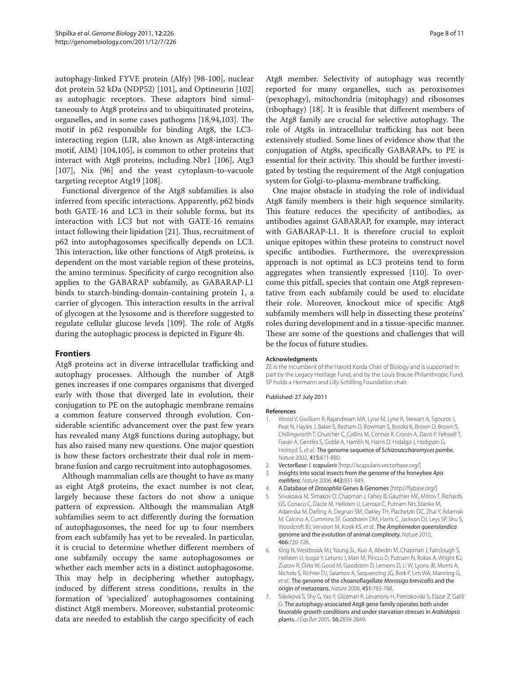autophagy-linked FYVE protein (Alfy) [98-100], nuclear dot protein 52 kDa (NDP52) [101], and Optineurin [102] as autophagic receptors. These adaptors bind simultaneously to Atg8 proteins and to ubiquitinated proteins, organelles, and in some cases pathogens [18,94,103]. The motif in p62 responsible for binding Atg8, the LC3 interacting region (LIR, also known as Atg8-interacting motif, AIM) [104,105], is common to other proteins that interact with Atg8 proteins, including Nbr1 [106], Atg3 [107], Nix [96] and the yeast cytoplasm-to-vacuole targeting receptor Atg19 [108].

Functional divergence of the Atg8 subfamilies is also inferred from specific interactions. Apparently, p62 binds both GATE-16 and LC3 in their soluble forms, but its interaction with LC3 but not with GATE-16 remains intact following their lipidation [21]. Thus, recruitment of p62 into autophagosomes specifically depends on LC3. This interaction, like other functions of Atg8 proteins, is dependent on the most variable region of these proteins, the amino terminus. Specificity of cargo recognition also applies to the GABARAP subfamily, as GABARAP-L1 binds to starch-binding-domain-containing protein 1, a carrier of glycogen. This interaction results in the arrival of glycogen at the lysosome and is therefore suggested to regulate cellular glucose levels [109]. The role of Atg8s during the autophagic process is depicted in Figure 4b.

### **Frontiers**

Atg8 proteins act in diverse intracellular trafficking and autophagy processes. Although the number of Atg8 genes increases if one compares organisms that diverged early with those that diverged late in evolution, their conjugation to PE on the autophagic membrane remains a common feature conserved through evolution. Considerable scientific advancement over the past few years has revealed many Atg8 functions during autophagy, but has also raised many new questions. One major question is how these factors orchestrate their dual role in membrane fusion and cargo recruitment into autophagosomes.

Although mammalian cells are thought to have as many as eight Atg8 proteins, the exact number is not clear, largely because these factors do not show a unique pattern of expression. Although the mammalian Atg8 subfamilies seem to act differently during the formation of autophagosomes, the need for up to four members from each subfamily has yet to be revealed. In particular, it is crucial to determine whether different members of one subfamily occupy the same autophagosomes or whether each member acts in a distinct autophagosome. This may help in deciphering whether autophagy, induced by different stress conditions, results in the formation of 'specialized' autophagosomes containing distinct Atg8 members. Moreover, substantial proteomic data are needed to establish the cargo specificity of each

Atg8 member. Selectivity of autophagy was recently reported for many organelles, such as peroxisomes (pexophagy), mitochondria (mitophagy) and ribosomes (ribophagy) [18]. It is feasible that different members of the Atg8 family are crucial for selective autophagy. The role of Atg8s in intracellular trafficking has not been extensively studied. Some lines of evidence show that the conjugation of Atg8s, specifically GABARAPs, to PE is essential for their activity. This should be further investigated by testing the requirement of the Atg8 conjugation system for Golgi-to-plasma-membrane trafficking.

One major obstacle in studying the role of individual Atg8 family members is their high sequence similarity. This feature reduces the specificity of antibodies, as antibodies against GABARAP, for example, may interact with GABARAP-L1. It is therefore crucial to exploit unique epitopes within these proteins to construct novel specific antibodies. Furthermore, the overexpression approach is not optimal as LC3 proteins tend to form aggregates when transiently expressed [110]. To overcome this pitfall, species that contain one Atg8 representative from each subfamily could be used to elucidate their role. Moreover, knockout mice of specific Atg8 subfamily members will help in dissecting these proteins' roles during development and in a tissue-specific manner. These are some of the questions and challenges that will be the focus of future studies.

#### **Acknowledgments**

ZE is the incumbent of the Harold Korda Chair of Biology and is supported in part by the Legacy Heritage Fund, and by the Louis Brause Philanthropic Fund. SP holds a Hermann and Lilly Schilling Foundation chair.

#### Published: 27 July 2011

#### **References**

- Wood V, Gwilliam R, Rajandream MA, Lyne M, Lyne R, Stewart A, Sgouros J, Peat N, Hayles J, Baker S, Basham D, Bowman S, Brooks K, Brown D, Brown S, Chillingworth T, Churcher C, Collins M, Connor R, Cronin A, Davis P, Feltwell T, Fraser A, Gentles S, Goble A, Hamlin N, Harris D, Hidalgo J, Hodgson G, Holroyd S, *et al.*: The genome sequence of *Schizosaccharomyces pombe*. *Nature* 2002, 415:871-880.
- 2. VectorBase: *I. scapularis* [http://iscapularis.vectorbase.org/]
- 3. Insights into social insects from the genome of the honeybee *Apis mellifera*. *Nature* 2006, 443:931-949.
- 4. A Database of *Drosophila* Genes & Genomes [http://flybase.org/]
- 5. Srivastava M, Simakov O, Chapman J, Fahey B, Gauthier ME, Mitros T, Richards GS, Conaco C, Dacre M, Hellsten U, Larroux C, Putnam NH, Stanke M, Adamska M, Darling A, Degnan SM, Oakley TH, Plachetzki DC, Zhai Y, Adamski M, Calcino A, Cummins SF, Goodstein DM, Harris C, Jackson DJ, Leys SP, Shu S, Woodcroft BJ, Vervoort M, Kosik KS, *et al.*: The *Amphimedon queenslandica* genome and the evolution of animal complexity. *Nature* 2010, 466:720-726.
- King N, Westbrook MJ, Young SL, Kuo A, Abedin M, Chapman J, Fairclough S, Hellsten U, Isogai Y, Letunic I, Marr M, Pincus D, Putnam N, Rokas A, Wright KJ, Zuzow R, Dirks W, Good M, Goodstein D, Lemons D, Li W, Lyons JB, Morris A, Nichols S, Richter DJ, Salamov A, Sequencing JG, Bork P, Lim WA, Manning G, *et al.*: The genome of the choanoflagellate *Monosiga brevicollis* and the origin of metazoans. *Nature* 2008, 451:783-788.
- 7. Sláviková S, Shy G, Yao Y, Glozman R, Levanony H, Pietrokovski S, Elazar Z, Galili G: The autophagy-associated Atg8 gene family operates both under favorable growth conditions and under starvation stresses in *Arabidopsis* plants. *J Exp Bot* 2005, 56:2839-2849.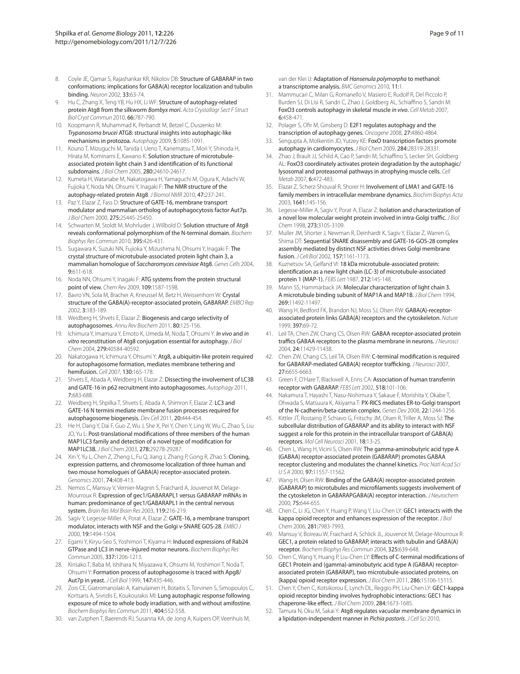- 8. Coyle JE, Qamar S, Rajashankar KR, Nikolov DB: Structure of GABARAP in two conformations: implications for GABA(A) receptor localization and tubulin binding. *Neuron* 2002, 33:63-74.
- 9. Hu C, Zhang X, Teng YB, Hu HX, Li WF: Structure of autophagy-related protein Atg8 from the silkworm *Bombyx mori*. *Acta Crystallogr Sect F Struct Biol Cryst Commun* 2010, 66:787-790.
- 10. Koopmann R, Muhammad K, Perbandt M, Betzel C, Duszenko M: *Trypanosoma brucei* ATG8: structural insights into autophagic-like mechanisms in protozoa. *Autophagy* 2009, 5:1085-1091.
- 11. Kouno T, Mizuguchi M, Tanida I, Ueno T, Kanematsu T, Mori Y, Shinoda H, Hirata M, Kominami E, Kawano K: Solution structure of microtubuleassociated protein light chain 3 and identification of its functional subdomains. *J Biol Chem* 2005, 280:24610-24617.
- 12. Kumeta H, Watanabe M, Nakatogawa H, Yamaguchi M, Ogura K, Adachi W, Fujioka Y, Noda NN, Ohsumi Y, Inagaki F: The NMR structure of the autophagy-related protein Atg8. *J Biomol NMR* 2010, 47:237-241.
- 13. Paz Y, Elazar Z, Fass D: Structure of GATE-16, membrane transport modulator and mammalian ortholog of autophagocytosis factor Aut7p. *J Biol Chem* 2000, 275:25445-25450.
- 14. Schwarten M, Stoldt M, Mohrluder J, Willbold D: Solution structure of Atg8 reveals conformational polymorphism of the N-terminal domain. *Biochem Biophys Res Commun* 2010, 395:426-431.
- 15. Sugawara K, Suzuki NN, Fujioka Y, Mizushima N, Ohsumi Y, Inagaki F: The crystal structure of microtubule-associated protein light chain 3, a mammalian homologue of *Saccharomyces cerevisiae* Atg8. *Genes Cells* 2004, 9:611-618.
- 16. Noda NN, Ohsumi Y, Inagaki F: ATG systems from the protein structural point of view. *Chem Rev* 2009, 109:1587-1598.
- 17. Bavro VN, Sola M, Bracher A, Kneussel M, Betz H, Weissenhorn W: Crystal structure of the GABA(A)-receptor-associated protein, GABARAP. *EMBO Rep*  2002, 3:183-189.
- 18. Weidberg H, Shvets E, Elazar Z: Biogenesis and cargo selectivity of autophagosomes. *Annu Rev Biochem* 2011, 80:125-156.
- 19. Ichimura Y, Imamura Y, Emoto K, Umeda M, Noda T, Ohsumi Y: *In vivo* and *in vitro* reconstitution of Atg8 conjugation essential for autophagy. *J Biol Chem* 2004, 279:40584-40592.
- 20. Nakatogawa H, Ichimura Y, Ohsumi Y: Atg8, a ubiquitin-like protein required for autophagosome formation, mediates membrane tethering and hemifusion. *Cell* 2007, 130:165-178.
- 21. Shvets E, Abada A, Weidberg H, Elazar Z: Dissecting the involvement of LC3B and GATE-16 in p62 recruitment into autophagosomes. *Autophagy* 2011, 7:683-688.
- 22. Weidberg H, Shpilka T, Shvets E, Abada A, Shimron F, Elazar Z: LC3 and GATE-16 N termini mediate membrane fusion processes required for autophagosome biogenesis. *Dev Cell* 2011, 20:444-454.
- 23. He H, Dang Y, Dai F, Guo Z, Wu J, She X, Pei Y, Chen Y, Ling W, Wu C, Zhao S, Liu JO, Yu L: Post-translational modifications of three members of the human MAP1LC3 family and detection of a novel type of modification for MAP1LC3B. *J Biol Chem* 2003, 278:29278-29287.
- 24. Xin Y, Yu L, Chen Z, Zheng L, Fu Q, Jiang J, Zhang P, Gong R, Zhao S: Cloning, expression patterns, and chromosome localization of three human and two mouse homologues of GABA(A) receptor-associated protein. *Genomics* 2001, 74:408-413.
- 25. Nemos C, Mansuy V, Vernier-Magnin S, Fraichard A, Jouvenot M, Delage-Mourroux R: Expression of gec1/GABARAPL1 versus GABARAP mRNAs in human: predominance of gec1/GABARAPL1 in the central nervous system. *Brain Res Mol Brain Res* 2003, 119:216-219.
- 26. Sagiv Y, Legesse-Miller A, Porat A, Elazar Z: GATE-16, a membrane transport modulator, interacts with NSF and the Golgi v-SNARE GOS-28. *EMBO J*  2000, 19:1494-1504.
- 27. Egami Y, Kiryu-Seo S, Yoshimori T, Kiyama H: Induced expressions of Rab24 GTPase and LC3 in nerve-injured motor neurons. *Biochem Biophys Res Commun* 2005, 337:1206-1213.
- 28. Kirisako T, Baba M, Ishihara N, Miyazawa K, Ohsumi M, Yoshimori T, Noda T, Ohsumi Y: Formation process of autophagosome is traced with Apg8/ Aut7p in yeast. *J Cell Biol* 1999, 147:435-446.
- 29. Zois CE, Giatromanolaki A, Kainulainen H, Botaitis S, Torvinen S, Simopoulos C, Kortsaris A, Sivridis E, Koukourakis MI: Lung autophagic response following exposure of mice to whole body irradiation, with and without amifostine. *Biochem Biophys Res Commun* 2011, 404:552-558.
- 30. van Zutphen T, Baerends RJ, Susanna KA, de Jong A, Kuipers OP, Veenhuis M,
- 31. Mammucari C, Milan G, Romanello V, Masiero E, Rudolf R, Del Piccolo P, Burden SJ, Di Lisi R, Sandri C, Zhao J, Goldberg AL, Schiaffino S, Sandri M: FoxO3 controls autophagy in skeletal muscle *in vivo*. *Cell Metab* 2007, 6:458-471.
- 32. Polager S, Ofir M, Ginsberg D: E2F1 regulates autophagy and the transcription of autophagy genes. *Oncogene* 2008, 27:4860-4864.
- 33. Sengupta A, Molkentin JD, Yutzey KE: FoxO transcription factors promote autophagy in cardiomyocytes. *J Biol Chem* 2009, 284:28319-28331.
- 34. Zhao J, Brault JJ, Schild A, Cao P, Sandri M, Schiaffino S, Lecker SH, Goldberg AL: FoxO3 coordinately activates protein degradation by the autophagic/ lysosomal and proteasomal pathways in atrophying muscle cells. *Cell Metab* 2007, 6:472-483.
- 35. Elazar Z, Scherz-Shouval R, Shorer H: Involvement of LMA1 and GATE-16 family members in intracellular membrane dynamics. *Biochim Biophys Acta*  2003, 1641:145-156.
- 36. Legesse-Miller A, Sagiv Y, Porat A, Elazar Z: Isolation and characterization of a novel low molecular weight protein involved in intra-Golgi traffic. *J Biol Chem* 1998, 273:3105-3109.
- 37. Muller JM, Shorter J, Newman R, Deinhardt K, Sagiv Y, Elazar Z, Warren G, Shima DT: Sequential SNARE disassembly and GATE-16-GOS-28 complex assembly mediated by distinct NSF activities drives Golgi membrane fusion. *J Cell Biol* 2002, 157:1161-1173.
- 38. Kuznetsov SA, Gelfand VI: 18 kDa microtubule-associated protein: identification as a new light chain (LC-3) of microtubule-associated protein 1 (MAP-1). *FEBS Lett* 1987, 212:145-148.
- 39. Mann SS, Hammarback JA: Molecular characterization of light chain 3. A microtubule binding subunit of MAP1A and MAP1B. *J Biol Chem* 1994, 269:11492-11497.
- 40. Wang H, Bedford FK, Brandon NJ, Moss SJ, Olsen RW: GABA(A)-receptorassociated protein links GABA(A) receptors and the cytoskeleton. *Nature*  1999, 397:69-72.
- 41. Leil TA, Chen ZW, Chang CS, Olsen RW: GABAA receptor-associated protein traffics GABAA receptors to the plasma membrane in neurons. *J Neurosci*  2004, 24:11429-11438.
- 42. Chen ZW, Chang CS, Leil TA, Olsen RW: C-terminal modification is required for GABARAP-mediated GABA(A) receptor trafficking. *J Neurosci* 2007, 27:6655-6663.
- 43. Green F, O'Hare T, Blackwell A, Enns CA: Association of human transferrin receptor with GABARAP. *FEBS Lett* 2002, 518:101-106.
- 44. Nakamura T, Hayashi T, Nasu-Nishimura Y, Sakaue F, Morishita Y, Okabe T, Ohwada S, Matsuura K, Akiyama T: PX-RICS mediates ER-to-Golgi transport of the N-cadherin/beta-catenin complex. *Genes Dev* 2008, 22:1244-1256.
- 45. Kittler JT, Rostaing P, Schiavo G, Fritschy JM, Olsen R, Triller A, Moss SJ: The subcellular distribution of GABARAP and its ability to interact with NSF suggest a role for this protein in the intracellular transport of GABA(A) receptors. *Mol Cell Neurosci* 2001, 18:13-25.
- Chen L, Wang H, Vicini S, Olsen RW: The gamma-aminobutyric acid type A (GABAA) receptor-associated protein (GABARAP) promotes GABAA receptor clustering and modulates the channel kinetics. *Proc Natl Acad Sci U S A* 2000, 97:11557-11562.
- 47. Wang H, Olsen RW: Binding of the GABA(A) receptor-associated protein (GABARAP) to microtubules and microfilaments suggests involvement of the cytoskeleton in GABARAPGABA(A) receptor interaction. *J Neurochem*  2000, 75:644-655.
- 48. Chen C, Li JG, Chen Y, Huang P, Wang Y, Liu-Chen LY: GEC1 interacts with the kappa opioid receptor and enhances expression of the receptor. *J Biol Chem* 2006, 281:7983-7993.
- 49. Mansuy V, Boireau W, Fraichard A, Schlick JL, Jouvenot M, Delage-Mourroux R: GEC1, a protein related to GABARAP, interacts with tubulin and GABA(A) receptor. *Biochem Biophys Res Commun* 2004, 325:639-648.
- 50. Chen C, Wang Y, Huang P, Liu-Chen LY: Effects of C-terminal modifications of GEC1 Protein and {gamma}-aminobutyric acid type A (GABAA) receptorassociated protein (GABARAP), two microtubule-associated proteins, on {kappa} opioid receptor expression. *J Biol Chem* 2011, 286:15106-15115.
- 51. Chen Y, Chen C, Kotsikorou E, Lynch DL, Reggio PH, Liu-Chen LY: GEC1-kappa opioid receptor binding involves hydrophobic interactions: GEC1 has chaperone-like effect. *J Biol Chem* 2009, 284:1673-1685.
- 52. Tamura N, Oku M, Sakai Y: Atg8 regulates vacuolar membrane dynamics in a lipidation-independent manner in *Pichia pastoris*. *J Cell Sci* 2010,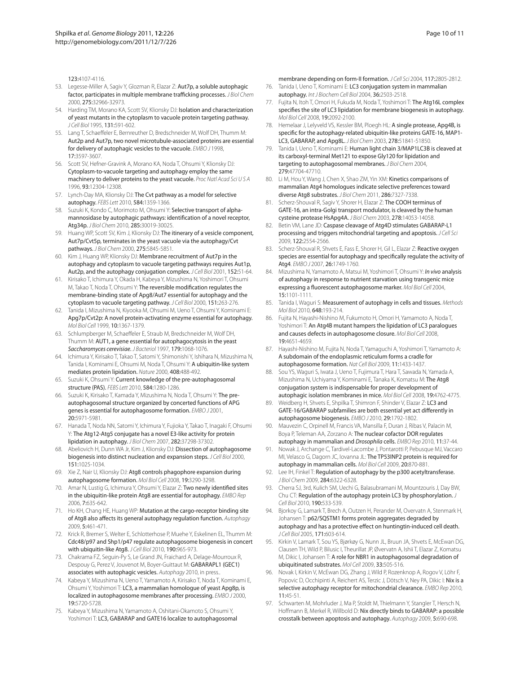123:4107-4116.

- 53. Legesse-Miller A, Sagiv Y, Glozman R, Elazar Z: Aut7p, a soluble autophagic factor, participates in multiple membrane trafficking processes. *J Biol Chem*  2000, 275:32966-32973.
- 54. Harding TM, Morano KA, Scott SV, Klionsky DJ: Isolation and characterization of yeast mutants in the cytoplasm to vacuole protein targeting pathway. *J Cell Biol* 1995, 131:591-602.
- 55. Lang T, Schaeffeler E, Bernreuther D, Bredschneider M, Wolf DH, Thumm M: Aut2p and Aut7p, two novel microtubule-associated proteins are essential for delivery of autophagic vesicles to the vacuole. *EMBO J* 1998, 17:3597-3607.
- 56. Scott SV, Hefner-Gravink A, Morano KA, Noda T, Ohsumi Y, Klionsky DJ: Cytoplasm-to-vacuole targeting and autophagy employ the same machinery to deliver proteins to the yeast vacuole. *Proc Natl Acad Sci U S A*  1996, 93:12304-12308.
- 57. Lynch-Day MA, Klionsky DJ: The Cvt pathway as a model for selective autophagy. *FEBS Lett* 2010, 584:1359-1366.
- 58. Suzuki K, Kondo C, Morimoto M, Ohsumi Y: Selective transport of alphamannosidase by autophagic pathways: identification of a novel receptor, Atg34p. *J Biol Chem* 2010, 285:30019-30025.
- 59. Huang WP, Scott SV, Kim J, Klionsky DJ: The itinerary of a vesicle component, Aut7p/Cvt5p, terminates in the yeast vacuole via the autophagy/Cvt pathways. *J Biol Chem* 2000, 275:5845-5851.
- Kim J, Huang WP, Klionsky DJ: Membrane recruitment of Aut7p in the autophagy and cytoplasm to vacuole targeting pathways requires Aut1p, Aut2p, and the autophagy conjugation complex. *J Cell Biol* 2001, 152:51-64.
- 61. Kirisako T, Ichimura Y, Okada H, Kabeya Y, Mizushima N, Yoshimori T, Ohsumi M, Takao T, Noda T, Ohsumi Y: The reversible modification regulates the membrane-binding state of Apg8/Aut7 essential for autophagy and the cytoplasm to vacuole targeting pathway. *J Cell Biol* 2000, 151:263-276.
- 62. Tanida I, Mizushima N, Kiyooka M, Ohsumi M, Ueno T, Ohsumi Y, Kominami E: Apg7p/Cvt2p: A novel protein-activating enzyme essential for autophagy. *Mol Biol Cell* 1999, 10:1367-1379.
- 63. Schlumpberger M, Schaeffeler E, Straub M, Bredschneider M, Wolf DH, Thumm M: AUT1, a gene essential for autophagocytosis in the yeast *Saccharomyces cerevisiae*. *J Bacteriol* 1997, 179:1068-1076.
- 64. Ichimura Y, Kirisako T, Takao T, Satomi Y, Shimonishi Y, Ishihara N, Mizushima N, Tanida I, Kominami E, Ohsumi M, Noda T, Ohsumi Y: A ubiquitin-like system mediates protein lipidation. *Nature* 2000, 408:488-492.
- 65. Suzuki K, Ohsumi Y: Current knowledge of the pre-autophagosomal structure (PAS). *FEBS Lett* 2010, 584:1280-1286.
- 66. Suzuki K, Kirisako T, Kamada Y, Mizushima N, Noda T, Ohsumi Y: The preautophagosomal structure organized by concerted functions of APG genes is essential for autophagosome formation. *EMBO J* 2001, 20:5971-5981.
- 67. Hanada T, Noda NN, Satomi Y, Ichimura Y, Fujioka Y, Takao T, Inagaki F, Ohsumi Y: The Atg12-Atg5 conjugate has a novel E3-like activity for protein lipidation in autophagy. *J Biol Chem* 2007, 282:37298-37302.
- 68. Abeliovich H, Dunn WA Jr, Kim J, Klionsky DJ: Dissection of autophagosome biogenesis into distinct nucleation and expansion steps. *J Cell Biol* 2000, 151:1025-1034.
- 69. Xie Z, Nair U, Klionsky DJ: Atg8 controls phagophore expansion during autophagosome formation. *Mol Biol Cell* 2008, 19:3290-3298.
- 70. Amar N, Lustig G, Ichimura Y, Ohsumi Y, Elazar Z: Two newly identified sites in the ubiquitin-like protein Atg8 are essential for autophagy. *EMBO Rep*  2006, 7:635-642.
- 71. Ho KH, Chang HE, Huang WP: Mutation at the cargo-receptor binding site of Atg8 also affects its general autophagy regulation function. *Autophagy*  2009, 5:461-471.
- 72. Krick R, Bremer S, Welter E, Schlotterhose P, Muehe Y, Eskelinen EL, Thumm M: Cdc48/p97 and Shp1/p47 regulate autophagosome biogenesis in concert with ubiquitin-like Atg8. *J Cell Biol* 2010, 190:965-973.
- 73. Chakrama FZ, Seguin-Py S, Le Grand JN, Fraichard A, Delage-Mourroux R, Despouy G, Perez V, Jouvenot M, Boyer-Guittaut M: GABARAPL1 (GEC1) associates with autophagic vesicles. *Autophagy* 2010, in press..
- 74. Kabeya Y, Mizushima N, Ueno T, Yamamoto A, Kirisako T, Noda T, Kominami E, Ohsumi Y, Yoshimori T: LC3, a mammalian homologue of yeast Apg8p, is localized in autophagosome membranes after processing. *EMBO J* 2000, 19:5720-5728.
- 75. Kabeya Y, Mizushima N, Yamamoto A, Oshitani-Okamoto S, Ohsumi Y, Yoshimori T: LC3, GABARAP and GATE16 localize to autophagosomal

membrane depending on form-II formation. *J Cell Sci* 2004, 117:2805-2812. 76. Tanida I, Ueno T, Kominami E: LC3 conjugation system in mammalian

- autophagy. *Int J Biochem Cell Biol* 2004, 36:2503-2518.
- 77. Fujita N, Itoh T, Omori H, Fukuda M, Noda T, Yoshimori T: The Atg16L complex specifies the site of LC3 lipidation for membrane biogenesis in autophagy. *Mol Biol Cell* 2008, 19:2092-2100.
- 78. Hemelaar J, Lelyveld VS, Kessler BM, Ploegh HL: A single protease, Apg4B, is specific for the autophagy-related ubiquitin-like proteins GATE-16, MAP1- LC3, GABARAP, and Apg8L. *J Biol Chem* 2003, 278:51841-51850.
- 79. Tanida I, Ueno T, Kominami E: Human light chain 3/MAP1LC3B is cleaved at its carboxyl-terminal Met121 to expose Gly120 for lipidation and targeting to autophagosomal membranes. *J Biol Chem* 2004, 279:47704-47710.
- 80. Li M, Hou Y, Wang J, Chen X, Shao ZM, Yin XM: Kinetics comparisons of mammalian Atg4 homologues indicate selective preferences toward diverse Atg8 substrates. *J Biol Chem* 2011, 286:7327-7338.
- 81. Scherz-Shouval R, Sagiv Y, Shorer H, Elazar Z: The COOH terminus of GATE-16, an intra-Golgi transport modulator, is cleaved by the human cysteine protease HsApg4A. *J Biol Chem* 2003, 278:14053-14058.
- 82. Betin VM, Lane JD: Caspase cleavage of Atg4D stimulates GABARAP-L1 processing and triggers mitochondrial targeting and apoptosis. *J Cell Sci*  2009, 122:2554-2566.
- 83. Scherz-Shouval R, Shvets E, Fass E, Shorer H, Gil L, Elazar Z: Reactive oxygen species are essential for autophagy and specifically regulate the activity of Atg4. *EMBO J* 2007, 26:1749-1760.
- 84. Mizushima N, Yamamoto A, Matsui M, Yoshimori T, Ohsumi Y: *In vivo* analysis of autophagy in response to nutrient starvation using transgenic mice expressing a fluorescent autophagosome marker. *Mol Biol Cell* 2004, 15:1101-1111.
- 85. Tanida I, Waguri S: Measurement of autophagy in cells and tissues. *Methods Mol Biol* 2010, 648:193-214.
- 86. Fujita N, Hayashi-Nishino M, Fukumoto H, Omori H, Yamamoto A, Noda T, Yoshimori T: An Atg4B mutant hampers the lipidation of LC3 paralogues and causes defects in autophagosome closure. *Mol Biol Cell* 2008, 19:4651-4659.
- 87. Hayashi-Nishino M, Fujita N, Noda T, Yamaguchi A, Yoshimori T, Yamamoto A: A subdomain of the endoplasmic reticulum forms a cradle for autophagosome formation. *Nat Cell Biol* 2009, 11:1433-1437.
- 88. Sou YS, Waguri S, Iwata J, Ueno T, Fujimura T, Hara T, Sawada N, Yamada A, Mizushima N, Uchiyama Y, Kominami E, Tanaka K, Komatsu M: The Atg8 conjugation system is indispensable for proper development of autophagic isolation membranes in mice. *Mol Biol Cell* 2008, 19:4762-4775.
- 89. Weidberg H, Shvets E, Shpilka T, Shimron E, Shinder V, Elazar Z: LC3 and GATE-16/GABARAP subfamilies are both essential yet act differently in autophagosome biogenesis. *EMBO J* 2010, 29:1792-1802.
- 90. Mauvezin C, Orpinell M, Francis VA, Mansilla F, Duran J, Ribas V, Palacin M, Boya P, Teleman AA, Zorzano A: The nuclear cofactor DOR regulates autophagy in mammalian and *Drosophila* cells. *EMBO Rep* 2010, 11:37-44.
- 91. Nowak J, Archange C, Tardivel-Lacombe J, Pontarotti P, Pebusque MJ, Vaccaro MI, Velasco G, Dagorn JC, Iovanna JL: The TP53INP2 protein is required for autophagy in mammalian cells. *Mol Biol Cell* 2009, 20:870-881.
- Lee IH, Finkel T: Regulation of autophagy by the p300 acetyltransferase. *J Biol Chem* 2009, 284:6322-6328.
- 93. Cherra SJ, 3rd, Kulich SM, Uechi G, Balasubramani M, Mountzouris J, Day BW, Chu CT: Regulation of the autophagy protein LC3 by phosphorylation. *J Cell Biol* 2010, 190:533-539.
- 94. Bjorkoy G, Lamark T, Brech A, Outzen H, Perander M, Overvatn A, Stenmark H, Johansen T: p62/SQSTM1 forms protein aggregates degraded by autophagy and has a protective effect on huntingtin-induced cell death. *J Cell Biol* 2005, 171:603-614.
- 95. Kirkin V, Lamark T, Sou YS, Bjørkøy G, Nunn JL, Bruun JA, Shvets E, McEwan DG, Clausen TH, Wild P, Bilusic I, Theurillat JP, Øvervatn A, Ishii T, Elazar Z, Komatsu M, Dikic I, Johansen T: A role for NBR1 in autophagosomal degradation of ubiquitinated substrates. *Mol Cell* 2009, 33:505-516.
- Novak I, Kirkin V, McEwan DG, Zhang J, Wild P, Rozenknop A, Rogov V, Löhr F, Popovic D, Occhipinti A, Reichert AS, Terzic J, Dötsch V, Ney PA, Dikic I: Nix is a selective autophagy receptor for mitochondrial clearance. *EMBO Rep* 2010, 11:45-51.
- 97. Schwarten M, Mohrluder J, Ma P, Stoldt M, Thielmann Y, Stangler T, Hersch N, Hoffmann B, Merkel R, Willbold D: Nix directly binds to GABARAP: a possible crosstalk between apoptosis and autophagy. *Autophagy* 2009, 5:690-698.